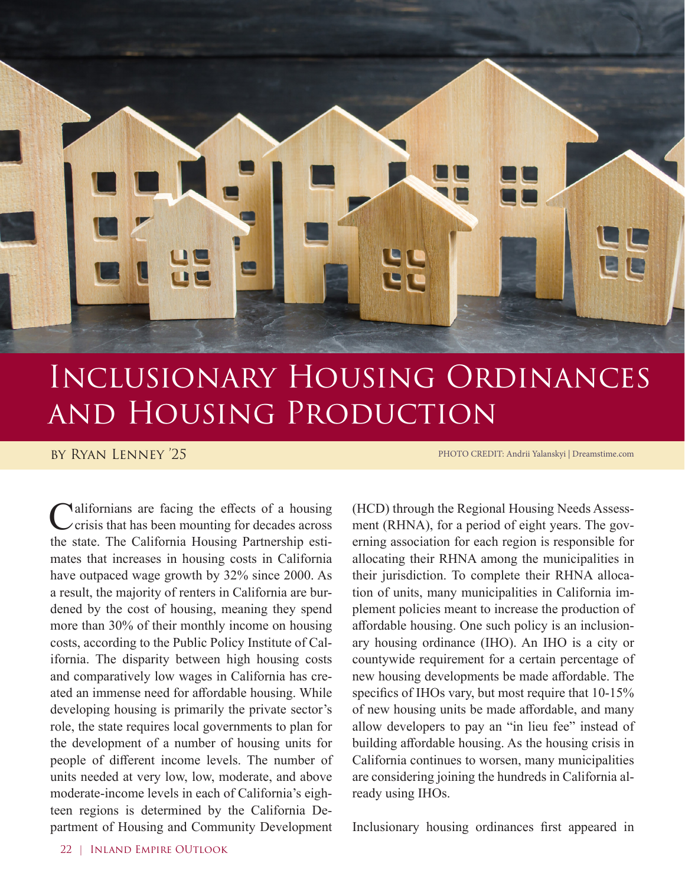

## Inclusionary Housing Ordinances and Housing Production

## by Ryan Lenney '25

PHOTO CREDIT: Andrii Yalanskyi | Dreamstime.com

Californians are facing the effects of a housing<br>
crisis that has been mounting for decades across the state. The California Housing Partnership estimates that increases in housing costs in California have outpaced wage growth by 32% since 2000. As a result, the majority of renters in California are burdened by the cost of housing, meaning they spend more than 30% of their monthly income on housing costs, according to the Public Policy Institute of California. The disparity between high housing costs and comparatively low wages in California has created an immense need for affordable housing. While developing housing is primarily the private sector's role, the state requires local governments to plan for the development of a number of housing units for people of different income levels. The number of units needed at very low, low, moderate, and above moderate-income levels in each of California's eighteen regions is determined by the California Department of Housing and Community Development

(HCD) through the Regional Housing Needs Assessment (RHNA), for a period of eight years. The governing association for each region is responsible for allocating their RHNA among the municipalities in their jurisdiction. To complete their RHNA allocation of units, many municipalities in California implement policies meant to increase the production of affordable housing. One such policy is an inclusionary housing ordinance (IHO). An IHO is a city or countywide requirement for a certain percentage of new housing developments be made affordable. The specifics of IHOs vary, but most require that 10-15% of new housing units be made affordable, and many allow developers to pay an "in lieu fee" instead of building affordable housing. As the housing crisis in California continues to worsen, many municipalities are considering joining the hundreds in California already using IHOs.

Inclusionary housing ordinances first appeared in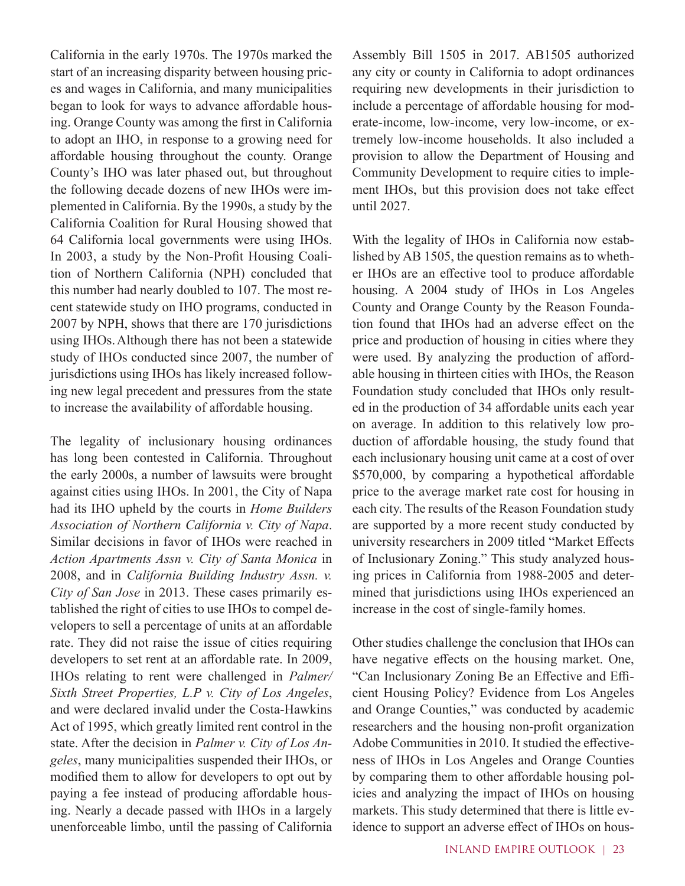California in the early 1970s. The 1970s marked the start of an increasing disparity between housing prices and wages in California, and many municipalities began to look for ways to advance affordable housing. Orange County was among the first in California to adopt an IHO, in response to a growing need for affordable housing throughout the county. Orange County's IHO was later phased out, but throughout the following decade dozens of new IHOs were implemented in California. By the 1990s, a study by the California Coalition for Rural Housing showed that 64 California local governments were using IHOs. In 2003, a study by the Non-Profit Housing Coalition of Northern California (NPH) concluded that this number had nearly doubled to 107. The most recent statewide study on IHO programs, conducted in 2007 by NPH, shows that there are 170 jurisdictions using IHOs.Although there has not been a statewide study of IHOs conducted since 2007, the number of jurisdictions using IHOs has likely increased following new legal precedent and pressures from the state to increase the availability of affordable housing.

The legality of inclusionary housing ordinances has long been contested in California. Throughout the early 2000s, a number of lawsuits were brought against cities using IHOs. In 2001, the City of Napa had its IHO upheld by the courts in *Home Builders Association of Northern California v. City of Napa*. Similar decisions in favor of IHOs were reached in *Action Apartments Assn v. City of Santa Monica* in 2008, and in *California Building Industry Assn. v. City of San Jose* in 2013. These cases primarily established the right of cities to use IHOs to compel developers to sell a percentage of units at an affordable rate. They did not raise the issue of cities requiring developers to set rent at an affordable rate. In 2009, IHOs relating to rent were challenged in *Palmer/ Sixth Street Properties, L.P v. City of Los Angeles*, and were declared invalid under the Costa-Hawkins Act of 1995, which greatly limited rent control in the state. After the decision in *Palmer v. City of Los Angeles*, many municipalities suspended their IHOs, or modified them to allow for developers to opt out by paying a fee instead of producing affordable housing. Nearly a decade passed with IHOs in a largely unenforceable limbo, until the passing of California

Assembly Bill 1505 in 2017. AB1505 authorized any city or county in California to adopt ordinances requiring new developments in their jurisdiction to include a percentage of affordable housing for moderate-income, low-income, very low-income, or extremely low-income households. It also included a provision to allow the Department of Housing and Community Development to require cities to implement IHOs, but this provision does not take effect until 2027.

With the legality of IHOs in California now established by AB 1505, the question remains as to whether IHOs are an effective tool to produce affordable housing. A 2004 study of IHOs in Los Angeles County and Orange County by the Reason Foundation found that IHOs had an adverse effect on the price and production of housing in cities where they were used. By analyzing the production of affordable housing in thirteen cities with IHOs, the Reason Foundation study concluded that IHOs only resulted in the production of 34 affordable units each year on average. In addition to this relatively low production of affordable housing, the study found that each inclusionary housing unit came at a cost of over \$570,000, by comparing a hypothetical affordable price to the average market rate cost for housing in each city. The results of the Reason Foundation study are supported by a more recent study conducted by university researchers in 2009 titled "Market Effects of Inclusionary Zoning." This study analyzed housing prices in California from 1988-2005 and determined that jurisdictions using IHOs experienced an increase in the cost of single-family homes.

Other studies challenge the conclusion that IHOs can have negative effects on the housing market. One, "Can Inclusionary Zoning Be an Effective and Efficient Housing Policy? Evidence from Los Angeles and Orange Counties," was conducted by academic researchers and the housing non-profit organization Adobe Communities in 2010. It studied the effectiveness of IHOs in Los Angeles and Orange Counties by comparing them to other affordable housing policies and analyzing the impact of IHOs on housing markets. This study determined that there is little evidence to support an adverse effect of IHOs on hous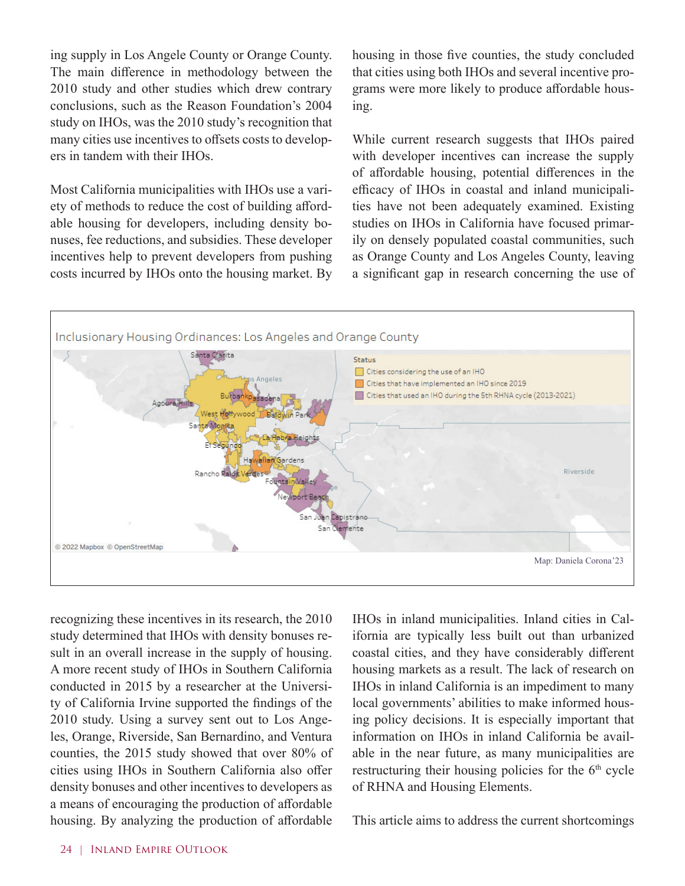ing supply in Los Angele County or Orange County. The main difference in methodology between the 2010 study and other studies which drew contrary conclusions, such as the Reason Foundation's 2004 study on IHOs, was the 2010 study's recognition that many cities use incentives to offsets costs to developers in tandem with their IHOs.

Most California municipalities with IHOs use a variety of methods to reduce the cost of building affordable housing for developers, including density bonuses, fee reductions, and subsidies. These developer incentives help to prevent developers from pushing costs incurred by IHOs onto the housing market. By housing in those five counties, the study concluded that cities using both IHOs and several incentive programs were more likely to produce affordable housing.

While current research suggests that IHOs paired with developer incentives can increase the supply of affordable housing, potential differences in the efficacy of IHOs in coastal and inland municipalities have not been adequately examined. Existing studies on IHOs in California have focused primarily on densely populated coastal communities, such as Orange County and Los Angeles County, leaving a significant gap in research concerning the use of



recognizing these incentives in its research, the 2010 study determined that IHOs with density bonuses result in an overall increase in the supply of housing. A more recent study of IHOs in Southern California conducted in 2015 by a researcher at the University of California Irvine supported the findings of the 2010 study. Using a survey sent out to Los Angeles, Orange, Riverside, San Bernardino, and Ventura counties, the 2015 study showed that over 80% of cities using IHOs in Southern California also offer density bonuses and other incentives to developers as a means of encouraging the production of affordable housing. By analyzing the production of affordable

IHOs in inland municipalities. Inland cities in California are typically less built out than urbanized coastal cities, and they have considerably different housing markets as a result. The lack of research on IHOs in inland California is an impediment to many local governments' abilities to make informed housing policy decisions. It is especially important that information on IHOs in inland California be available in the near future, as many municipalities are restructuring their housing policies for the 6<sup>th</sup> cycle of RHNA and Housing Elements.

This article aims to address the current shortcomings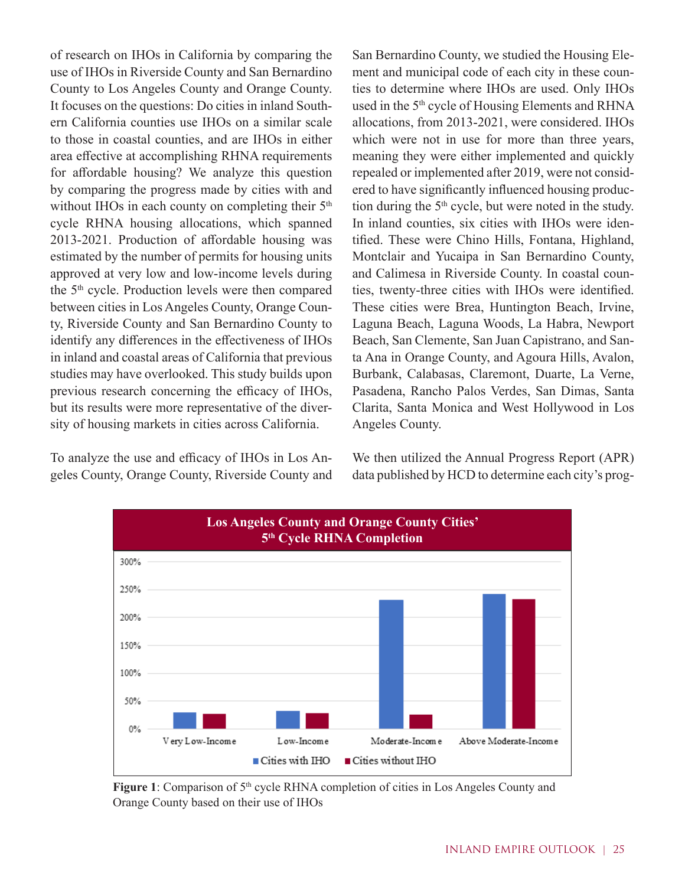of research on IHOs in California by comparing the use of IHOs in Riverside County and San Bernardino County to Los Angeles County and Orange County. It focuses on the questions: Do cities in inland Southern California counties use IHOs on a similar scale to those in coastal counties, and are IHOs in either area effective at accomplishing RHNA requirements for affordable housing? We analyze this question by comparing the progress made by cities with and without IHOs in each county on completing their 5<sup>th</sup> cycle RHNA housing allocations, which spanned 2013-2021. Production of affordable housing was estimated by the number of permits for housing units approved at very low and low-income levels during the 5th cycle. Production levels were then compared between cities in Los Angeles County, Orange County, Riverside County and San Bernardino County to identify any differences in the effectiveness of IHOs in inland and coastal areas of California that previous studies may have overlooked. This study builds upon previous research concerning the efficacy of IHOs, but its results were more representative of the diversity of housing markets in cities across California.

To analyze the use and efficacy of IHOs in Los Angeles County, Orange County, Riverside County and San Bernardino County, we studied the Housing Element and municipal code of each city in these counties to determine where IHOs are used. Only IHOs used in the 5<sup>th</sup> cycle of Housing Elements and RHNA allocations, from 2013-2021, were considered. IHOs which were not in use for more than three years, meaning they were either implemented and quickly repealed or implemented after 2019, were not considered to have significantly influenced housing production during the  $5<sup>th</sup>$  cycle, but were noted in the study. In inland counties, six cities with IHOs were identified. These were Chino Hills, Fontana, Highland, Montclair and Yucaipa in San Bernardino County, and Calimesa in Riverside County. In coastal counties, twenty-three cities with IHOs were identified. These cities were Brea, Huntington Beach, Irvine, Laguna Beach, Laguna Woods, La Habra, Newport Beach, San Clemente, San Juan Capistrano, and Santa Ana in Orange County, and Agoura Hills, Avalon, Burbank, Calabasas, Claremont, Duarte, La Verne, Pasadena, Rancho Palos Verdes, San Dimas, Santa Clarita, Santa Monica and West Hollywood in Los Angeles County.

We then utilized the Annual Progress Report (APR) data published by HCD to determine each city's prog-



Figure 1: Comparison of 5<sup>th</sup> cycle RHNA completion of cities in Los Angeles County and Orange County based on their use of IHOs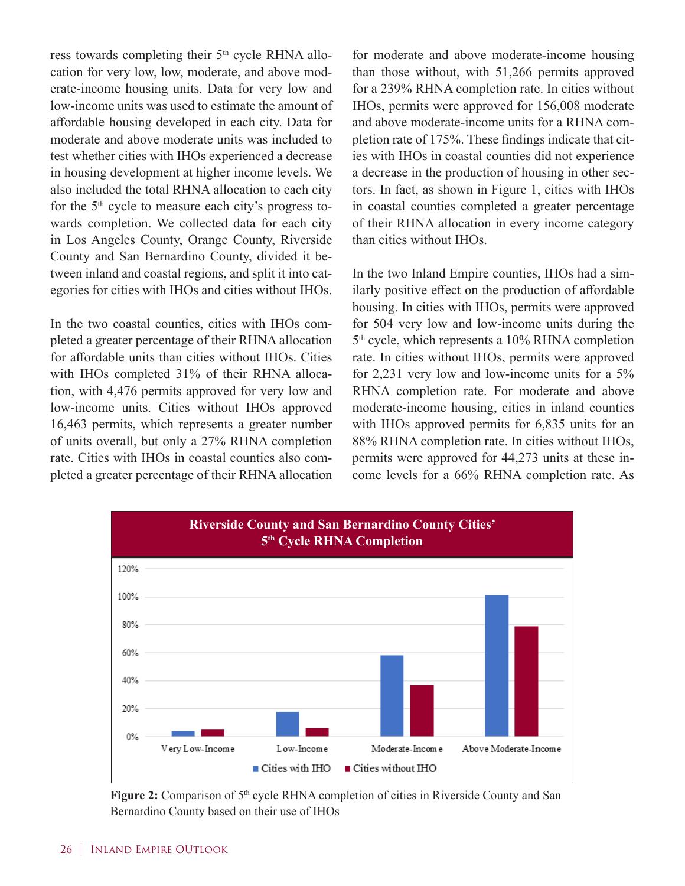ress towards completing their 5<sup>th</sup> cycle RHNA allocation for very low, low, moderate, and above moderate-income housing units. Data for very low and low-income units was used to estimate the amount of affordable housing developed in each city. Data for moderate and above moderate units was included to test whether cities with IHOs experienced a decrease in housing development at higher income levels. We also included the total RHNA allocation to each city for the  $5<sup>th</sup>$  cycle to measure each city's progress towards completion. We collected data for each city in Los Angeles County, Orange County, Riverside County and San Bernardino County, divided it between inland and coastal regions, and split it into categories for cities with IHOs and cities without IHOs.

In the two coastal counties, cities with IHOs completed a greater percentage of their RHNA allocation for affordable units than cities without IHOs. Cities with IHOs completed 31% of their RHNA allocation, with 4,476 permits approved for very low and low-income units. Cities without IHOs approved 16,463 permits, which represents a greater number of units overall, but only a 27% RHNA completion rate. Cities with IHOs in coastal counties also completed a greater percentage of their RHNA allocation for moderate and above moderate-income housing than those without, with 51,266 permits approved for a 239% RHNA completion rate. In cities without IHOs, permits were approved for 156,008 moderate and above moderate-income units for a RHNA completion rate of 175%. These findings indicate that cities with IHOs in coastal counties did not experience a decrease in the production of housing in other sectors. In fact, as shown in Figure 1, cities with IHOs in coastal counties completed a greater percentage of their RHNA allocation in every income category than cities without IHOs.

In the two Inland Empire counties, IHOs had a similarly positive effect on the production of affordable housing. In cities with IHOs, permits were approved for 504 very low and low-income units during the 5<sup>th</sup> cycle, which represents a 10% RHNA completion rate. In cities without IHOs, permits were approved for 2,231 very low and low-income units for a 5% RHNA completion rate. For moderate and above moderate-income housing, cities in inland counties with IHOs approved permits for 6,835 units for an 88% RHNA completion rate. In cities without IHOs, permits were approved for 44,273 units at these income levels for a 66% RHNA completion rate. As



**Figure 2:** Comparison of 5<sup>th</sup> cycle RHNA completion of cities in Riverside County and San Bernardino County based on their use of IHOs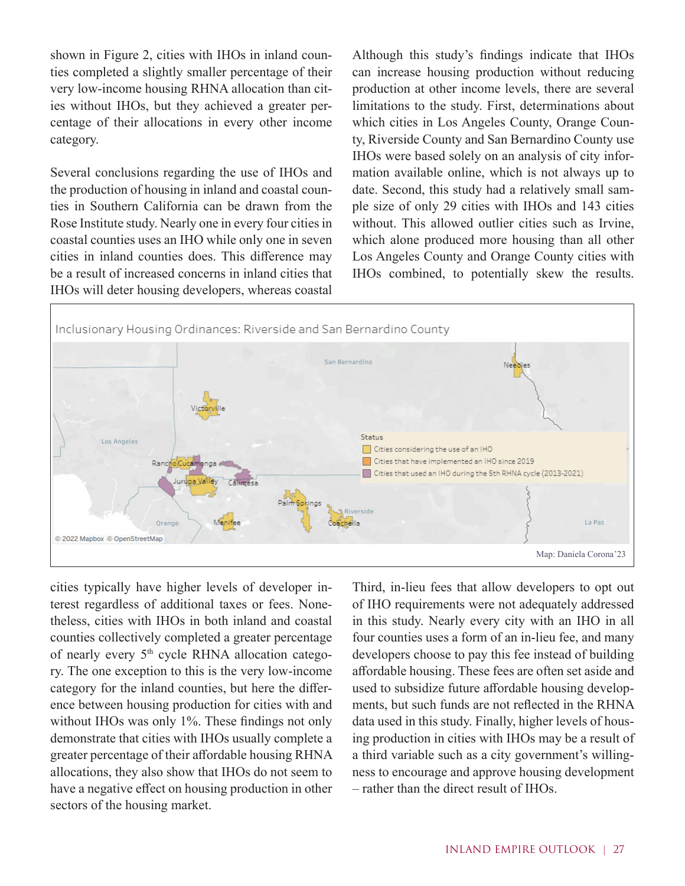shown in Figure 2, cities with IHOs in inland counties completed a slightly smaller percentage of their very low-income housing RHNA allocation than cities without IHOs, but they achieved a greater percentage of their allocations in every other income category.

Several conclusions regarding the use of IHOs and the production of housing in inland and coastal counties in Southern California can be drawn from the Rose Institute study. Nearly one in every four cities in coastal counties uses an IHO while only one in seven cities in inland counties does. This difference may be a result of increased concerns in inland cities that IHOs will deter housing developers, whereas coastal

Although this study's findings indicate that IHOs can increase housing production without reducing production at other income levels, there are several limitations to the study. First, determinations about which cities in Los Angeles County, Orange County, Riverside County and San Bernardino County use IHOs were based solely on an analysis of city information available online, which is not always up to date. Second, this study had a relatively small sample size of only 29 cities with IHOs and 143 cities without. This allowed outlier cities such as Irvine, which alone produced more housing than all other Los Angeles County and Orange County cities with IHOs combined, to potentially skew the results.



cities typically have higher levels of developer interest regardless of additional taxes or fees. Nonetheless, cities with IHOs in both inland and coastal counties collectively completed a greater percentage of nearly every 5<sup>th</sup> cycle RHNA allocation category. The one exception to this is the very low-income category for the inland counties, but here the difference between housing production for cities with and without IHOs was only 1%. These findings not only demonstrate that cities with IHOs usually complete a greater percentage of their affordable housing RHNA allocations, they also show that IHOs do not seem to have a negative effect on housing production in other sectors of the housing market.

Third, in-lieu fees that allow developers to opt out of IHO requirements were not adequately addressed in this study. Nearly every city with an IHO in all four counties uses a form of an in-lieu fee, and many developers choose to pay this fee instead of building affordable housing. These fees are often set aside and used to subsidize future affordable housing developments, but such funds are not reflected in the RHNA data used in this study. Finally, higher levels of housing production in cities with IHOs may be a result of a third variable such as a city government's willingness to encourage and approve housing development – rather than the direct result of IHOs.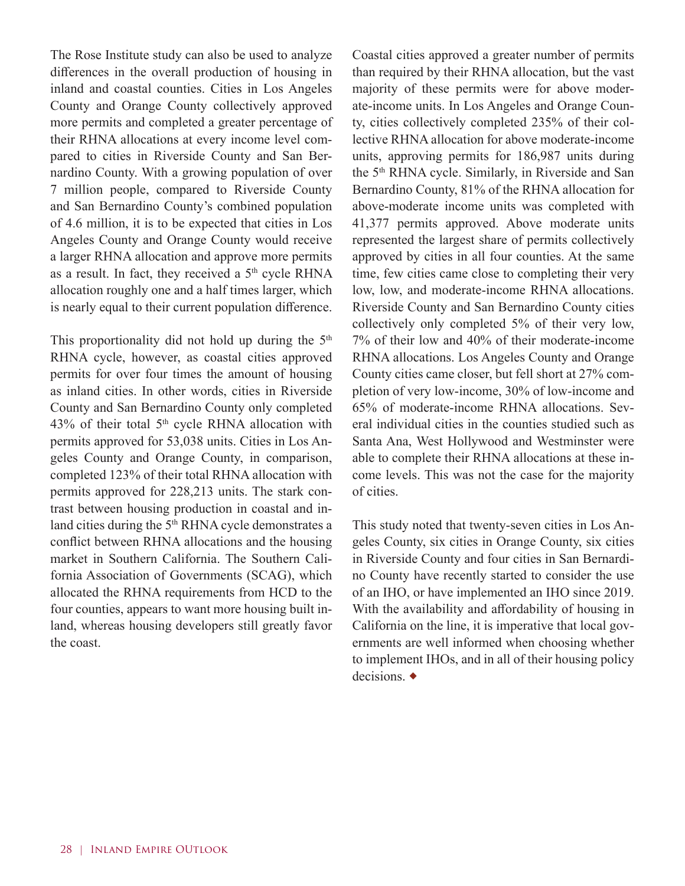The Rose Institute study can also be used to analyze differences in the overall production of housing in inland and coastal counties. Cities in Los Angeles County and Orange County collectively approved more permits and completed a greater percentage of their RHNA allocations at every income level compared to cities in Riverside County and San Bernardino County. With a growing population of over 7 million people, compared to Riverside County and San Bernardino County's combined population of 4.6 million, it is to be expected that cities in Los Angeles County and Orange County would receive a larger RHNA allocation and approve more permits as a result. In fact, they received a 5<sup>th</sup> cycle RHNA allocation roughly one and a half times larger, which is nearly equal to their current population difference.

This proportionality did not hold up during the  $5<sup>th</sup>$ RHNA cycle, however, as coastal cities approved permits for over four times the amount of housing as inland cities. In other words, cities in Riverside County and San Bernardino County only completed 43% of their total 5<sup>th</sup> cycle RHNA allocation with permits approved for 53,038 units. Cities in Los Angeles County and Orange County, in comparison, completed 123% of their total RHNA allocation with permits approved for 228,213 units. The stark contrast between housing production in coastal and inland cities during the 5<sup>th</sup> RHNA cycle demonstrates a conflict between RHNA allocations and the housing market in Southern California. The Southern California Association of Governments (SCAG), which allocated the RHNA requirements from HCD to the four counties, appears to want more housing built inland, whereas housing developers still greatly favor the coast.

Coastal cities approved a greater number of permits than required by their RHNA allocation, but the vast majority of these permits were for above moderate-income units. In Los Angeles and Orange County, cities collectively completed 235% of their collective RHNA allocation for above moderate-income units, approving permits for 186,987 units during the 5<sup>th</sup> RHNA cycle. Similarly, in Riverside and San Bernardino County, 81% of the RHNA allocation for above-moderate income units was completed with 41,377 permits approved. Above moderate units represented the largest share of permits collectively approved by cities in all four counties. At the same time, few cities came close to completing their very low, low, and moderate-income RHNA allocations. Riverside County and San Bernardino County cities collectively only completed 5% of their very low, 7% of their low and 40% of their moderate-income RHNA allocations. Los Angeles County and Orange County cities came closer, but fell short at 27% completion of very low-income, 30% of low-income and 65% of moderate-income RHNA allocations. Several individual cities in the counties studied such as Santa Ana, West Hollywood and Westminster were able to complete their RHNA allocations at these income levels. This was not the case for the majority of cities.

This study noted that twenty-seven cities in Los Angeles County, six cities in Orange County, six cities in Riverside County and four cities in San Bernardino County have recently started to consider the use of an IHO, or have implemented an IHO since 2019. With the availability and affordability of housing in California on the line, it is imperative that local governments are well informed when choosing whether to implement IHOs, and in all of their housing policy decisions. ◆